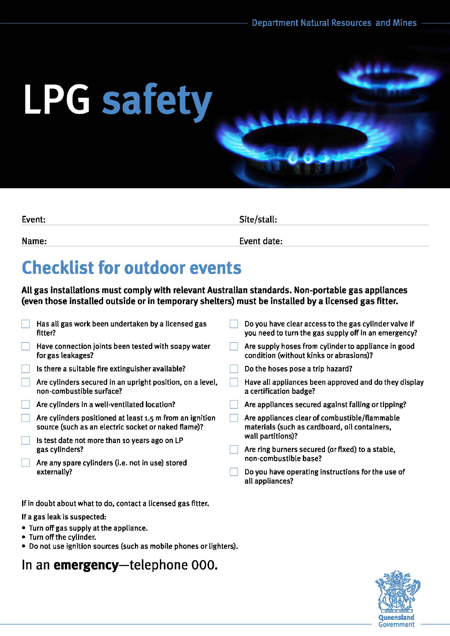# **LPG safety**

| Event: | Site/stall: |  |
|--------|-------------|--|
| Name:  | Event date: |  |

## **Checklist for outdoor events**

All gas installations must comply with relevant Australian standards. Non-portable gas appliances (even those installed outside or in temporary shelters) must be installed by a licensed gas fitter.

|  | Has all gas work been undertaken by a licensed gas<br>fitter?                                                   | Do you have clear access to the gas cylinder valve if<br>you need to turn the gas supply off in an emergency? |  |
|--|-----------------------------------------------------------------------------------------------------------------|---------------------------------------------------------------------------------------------------------------|--|
|  | Have connection joints been tested with soapy water<br>for gas leakages?                                        | Are supply hoses from cylinder to appliance in good<br>condition (without kinks or abrasions)?                |  |
|  | Is there a suitable fire extinguisher available?                                                                | Do the hoses pose a trip hazard?                                                                              |  |
|  | Are cylinders secured in an upright position, on a level,<br>non-combustible surface?                           | Have all appliances been approved and do they display<br>a certification badge?                               |  |
|  | Are cylinders in a well-ventilated location?                                                                    | Are appliances secured against falling or tipping?                                                            |  |
|  | Are cylinders positioned at least 1.5 m from an ignition<br>source (such as an electric socket or naked flame)? | Are appliances clear of combustible/flammable<br>materials (such as cardboard, oil containers,                |  |
|  | Is test date not more than 10 years ago on LP<br>gas cylinders?                                                 | wall partitions)?                                                                                             |  |
|  |                                                                                                                 | Are ring burners secured (or fixed) to a stable,                                                              |  |
|  | Are any spare cylinders (i.e. not in use) stored<br>externally?                                                 | non-combustible base?                                                                                         |  |
|  |                                                                                                                 | Do you have operating instructions for the use of<br>all appliances?                                          |  |
|  |                                                                                                                 |                                                                                                               |  |

If in doubt about what to do, contact a licensed gas fitter.

If a gas leak is suspected:

- Turn off gas supply at the appliance.
- Turn off the cylinder.
- Do not use ignition sources (such as mobile phones or lighters).

### In an **emergency-telephone** 000.